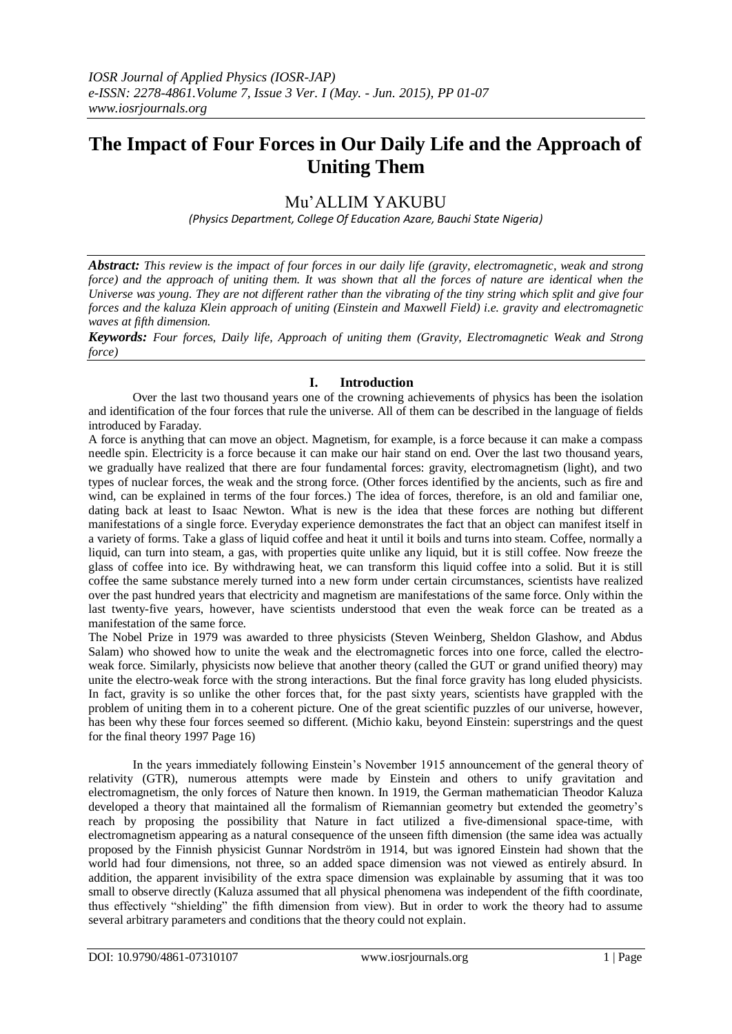# **The Impact of Four Forces in Our Daily Life and the Approach of Uniting Them**

# Mu'ALLIM YAKUBU

*(Physics Department, College Of Education Azare, Bauchi State Nigeria)*

*Abstract: This review is the impact of four forces in our daily life (gravity, electromagnetic, weak and strong force) and the approach of uniting them. It was shown that all the forces of nature are identical when the Universe was young. They are not different rather than the vibrating of the tiny string which split and give four forces and the kaluza Klein approach of uniting (Einstein and Maxwell Field) i.e. gravity and electromagnetic waves at fifth dimension.*

*Keywords: Four forces, Daily life, Approach of uniting them (Gravity, Electromagnetic Weak and Strong force)*

# **I. Introduction**

Over the last two thousand years one of the crowning achievements of physics has been the isolation and identification of the four forces that rule the universe. All of them can be described in the language of fields introduced by Faraday.

A force is anything that can move an object. Magnetism, for example, is a force because it can make a compass needle spin. Electricity is a force because it can make our hair stand on end. Over the last two thousand years, we gradually have realized that there are four fundamental forces: gravity, electromagnetism (light), and two types of nuclear forces, the weak and the strong force. (Other forces identified by the ancients, such as fire and wind, can be explained in terms of the four forces.) The idea of forces, therefore, is an old and familiar one, dating back at least to Isaac Newton. What is new is the idea that these forces are nothing but different manifestations of a single force. Everyday experience demonstrates the fact that an object can manifest itself in a variety of forms. Take a glass of liquid coffee and heat it until it boils and turns into steam. Coffee, normally a liquid, can turn into steam, a gas, with properties quite unlike any liquid, but it is still coffee. Now freeze the glass of coffee into ice. By withdrawing heat, we can transform this liquid coffee into a solid. But it is still coffee the same substance merely turned into a new form under certain circumstances, scientists have realized over the past hundred years that electricity and magnetism are manifestations of the same force. Only within the last twenty-five years, however, have scientists understood that even the weak force can be treated as a manifestation of the same force.

The Nobel Prize in 1979 was awarded to three physicists (Steven Weinberg, Sheldon Glashow, and Abdus Salam) who showed how to unite the weak and the electromagnetic forces into one force, called the electroweak force. Similarly, physicists now believe that another theory (called the GUT or grand unified theory) may unite the electro-weak force with the strong interactions. But the final force gravity has long eluded physicists. In fact, gravity is so unlike the other forces that, for the past sixty years, scientists have grappled with the problem of uniting them in to a coherent picture. One of the great scientific puzzles of our universe, however, has been why these four forces seemed so different. (Michio kaku, beyond Einstein: superstrings and the quest for the final theory 1997 Page 16)

In the years immediately following Einstein's November 1915 announcement of the general theory of relativity (GTR), numerous attempts were made by Einstein and others to unify gravitation and electromagnetism, the only forces of Nature then known. In 1919, the German mathematician Theodor Kaluza developed a theory that maintained all the formalism of Riemannian geometry but extended the geometry's reach by proposing the possibility that Nature in fact utilized a five-dimensional space-time, with electromagnetism appearing as a natural consequence of the unseen fifth dimension (the same idea was actually proposed by the Finnish physicist Gunnar Nordström in 1914, but was ignored Einstein had shown that the world had four dimensions, not three, so an added space dimension was not viewed as entirely absurd. In addition, the apparent invisibility of the extra space dimension was explainable by assuming that it was too small to observe directly (Kaluza assumed that all physical phenomena was independent of the fifth coordinate, thus effectively "shielding" the fifth dimension from view). But in order to work the theory had to assume several arbitrary parameters and conditions that the theory could not explain.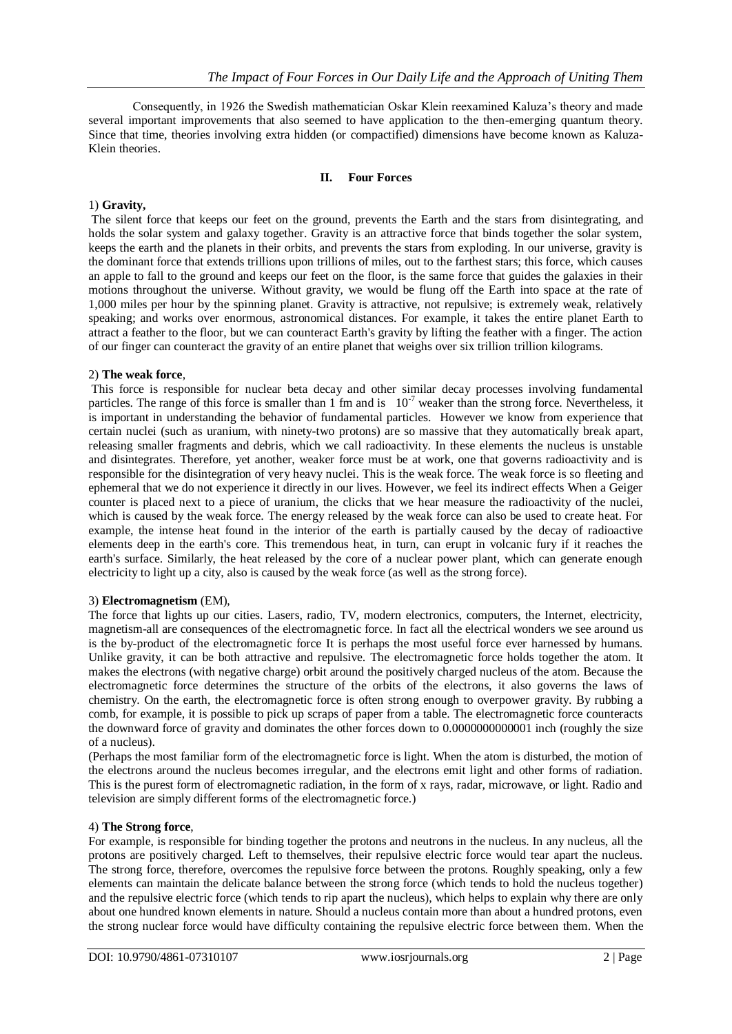Consequently, in 1926 the Swedish mathematician Oskar Klein reexamined Kaluza's theory and made several important improvements that also seemed to have application to the then-emerging quantum theory. Since that time, theories involving extra hidden (or compactified) dimensions have become known as Kaluza-Klein theories.

# **II. Four Forces**

### 1) **Gravity,**

The silent force that keeps our feet on the ground, prevents the Earth and the stars from disintegrating, and holds the solar system and galaxy together. Gravity is an attractive force that binds together the solar system, keeps the earth and the planets in their orbits, and prevents the stars from exploding. In our universe, gravity is the dominant force that extends trillions upon trillions of miles, out to the farthest stars; this force, which causes an apple to fall to the ground and keeps our feet on the floor, is the same force that guides the galaxies in their motions throughout the universe. Without gravity, we would be flung off the Earth into space at the rate of 1,000 miles per hour by the spinning planet. Gravity is attractive, not repulsive; is extremely weak, relatively speaking; and works over enormous, astronomical distances. For example, it takes the entire planet Earth to attract a feather to the floor, but we can counteract Earth's gravity by lifting the feather with a finger. The action of our finger can counteract the gravity of an entire planet that weighs over six trillion trillion kilograms.

#### 2) **The weak force**,

This force is responsible for nuclear beta decay and other similar decay processes involving fundamental particles. The range of this force is smaller than 1 fm and is  $10^{-7}$  weaker than the strong force. Nevertheless, it is important in understanding the behavior of fundamental particles. However we know from experience that certain nuclei (such as uranium, with ninety-two protons) are so massive that they automatically break apart, releasing smaller fragments and debris, which we call radioactivity. In these elements the nucleus is unstable and disintegrates. Therefore, yet another, weaker force must be at work, one that governs radioactivity and is responsible for the disintegration of very heavy nuclei. This is the weak force. The weak force is so fleeting and ephemeral that we do not experience it directly in our lives. However, we feel its indirect effects When a Geiger counter is placed next to a piece of uranium, the clicks that we hear measure the radioactivity of the nuclei, which is caused by the weak force. The energy released by the weak force can also be used to create heat. For example, the intense heat found in the interior of the earth is partially caused by the decay of radioactive elements deep in the earth's core. This tremendous heat, in turn, can erupt in volcanic fury if it reaches the earth's surface. Similarly, the heat released by the core of a nuclear power plant, which can generate enough electricity to light up a city, also is caused by the weak force (as well as the strong force).

#### 3) **Electromagnetism** (EM),

The force that lights up our cities. Lasers, radio, TV, modern electronics, computers, the Internet, electricity, magnetism-all are consequences of the electromagnetic force. In fact all the electrical wonders we see around us is the by-product of the electromagnetic force It is perhaps the most useful force ever harnessed by humans. Unlike gravity, it can be both attractive and repulsive. The electromagnetic force holds together the atom. It makes the electrons (with negative charge) orbit around the positively charged nucleus of the atom. Because the electromagnetic force determines the structure of the orbits of the electrons, it also governs the laws of chemistry. On the earth, the electromagnetic force is often strong enough to overpower gravity. By rubbing a comb, for example, it is possible to pick up scraps of paper from a table. The electromagnetic force counteracts the downward force of gravity and dominates the other forces down to 0.0000000000001 inch (roughly the size of a nucleus).

(Perhaps the most familiar form of the electromagnetic force is light. When the atom is disturbed, the motion of the electrons around the nucleus becomes irregular, and the electrons emit light and other forms of radiation. This is the purest form of electromagnetic radiation, in the form of x rays, radar, microwave, or light. Radio and television are simply different forms of the electromagnetic force.)

#### 4) **The Strong force**,

For example, is responsible for binding together the protons and neutrons in the nucleus. In any nucleus, all the protons are positively charged. Left to themselves, their repulsive electric force would tear apart the nucleus. The strong force, therefore, overcomes the repulsive force between the protons. Roughly speaking, only a few elements can maintain the delicate balance between the strong force (which tends to hold the nucleus together) and the repulsive electric force (which tends to rip apart the nucleus), which helps to explain why there are only about one hundred known elements in nature. Should a nucleus contain more than about a hundred protons, even the strong nuclear force would have difficulty containing the repulsive electric force between them. When the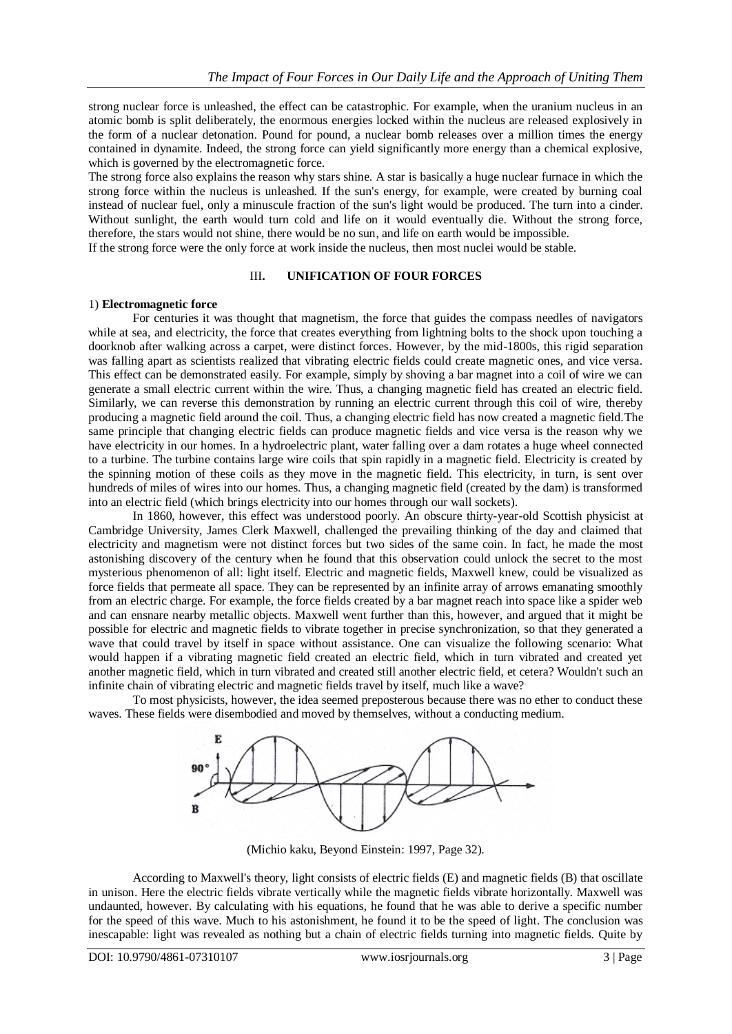strong nuclear force is unleashed, the effect can be catastrophic. For example, when the uranium nucleus in an atomic bomb is split deliberately, the enormous energies locked within the nucleus are released explosively in the form of a nuclear detonation. Pound for pound, a nuclear bomb releases over a million times the energy contained in dynamite. Indeed, the strong force can yield significantly more energy than a chemical explosive, which is governed by the electromagnetic force.

The strong force also explains the reason why stars shine. A star is basically a huge nuclear furnace in which the strong force within the nucleus is unleashed. If the sun's energy, for example, were created by burning coal instead of nuclear fuel, only a minuscule fraction of the sun's light would be produced. The turn into a cinder. Without sunlight, the earth would turn cold and life on it would eventually die. Without the strong force, therefore, the stars would not shine, there would be no sun, and life on earth would be impossible. If the strong force were the only force at work inside the nucleus, then most nuclei would be stable.

#### III**. UNIFICATION OF FOUR FORCES**

#### 1) **Electromagnetic force**

For centuries it was thought that magnetism, the force that guides the compass needles of navigators while at sea, and electricity, the force that creates everything from lightning bolts to the shock upon touching a doorknob after walking across a carpet, were distinct forces. However, by the mid-1800s, this rigid separation was falling apart as scientists realized that vibrating electric fields could create magnetic ones, and vice versa. This effect can be demonstrated easily. For example, simply by shoving a bar magnet into a coil of wire we can generate a small electric current within the wire. Thus, a changing magnetic field has created an electric field. Similarly, we can reverse this demonstration by running an electric current through this coil of wire, thereby producing a magnetic field around the coil. Thus, a changing electric field has now created a magnetic field.The same principle that changing electric fields can produce magnetic fields and vice versa is the reason why we have electricity in our homes. In a hydroelectric plant, water falling over a dam rotates a huge wheel connected to a turbine. The turbine contains large wire coils that spin rapidly in a magnetic field. Electricity is created by the spinning motion of these coils as they move in the magnetic field. This electricity, in turn, is sent over hundreds of miles of wires into our homes. Thus, a changing magnetic field (created by the dam) is transformed into an electric field (which brings electricity into our homes through our wall sockets).

In 1860, however, this effect was understood poorly. An obscure thirty-year-old Scottish physicist at Cambridge University, James Clerk Maxwell, challenged the prevailing thinking of the day and claimed that electricity and magnetism were not distinct forces but two sides of the same coin. In fact, he made the most astonishing discovery of the century when he found that this observation could unlock the secret to the most mysterious phenomenon of all: light itself. Electric and magnetic fields, Maxwell knew, could be visualized as force fields that permeate all space. They can be represented by an infinite array of arrows emanating smoothly from an electric charge. For example, the force fields created by a bar magnet reach into space like a spider web and can ensnare nearby metallic objects. Maxwell went further than this, however, and argued that it might be possible for electric and magnetic fields to vibrate together in precise synchronization, so that they generated a wave that could travel by itself in space without assistance. One can visualize the following scenario: What would happen if a vibrating magnetic field created an electric field, which in turn vibrated and created yet another magnetic field, which in turn vibrated and created still another electric field, et cetera? Wouldn't such an infinite chain of vibrating electric and magnetic fields travel by itself, much like a wave?

To most physicists, however, the idea seemed preposterous because there was no ether to conduct these waves. These fields were disembodied and moved by themselves, without a conducting medium.



(Michio kaku, Beyond Einstein: 1997, Page 32).

According to Maxwell's theory, light consists of electric fields (E) and magnetic fields (B) that oscillate in unison. Here the electric fields vibrate vertically while the magnetic fields vibrate horizontally. Maxwell was undaunted, however. By calculating with his equations, he found that he was able to derive a specific number for the speed of this wave. Much to his astonishment, he found it to be the speed of light. The conclusion was inescapable: light was revealed as nothing but a chain of electric fields turning into magnetic fields. Quite by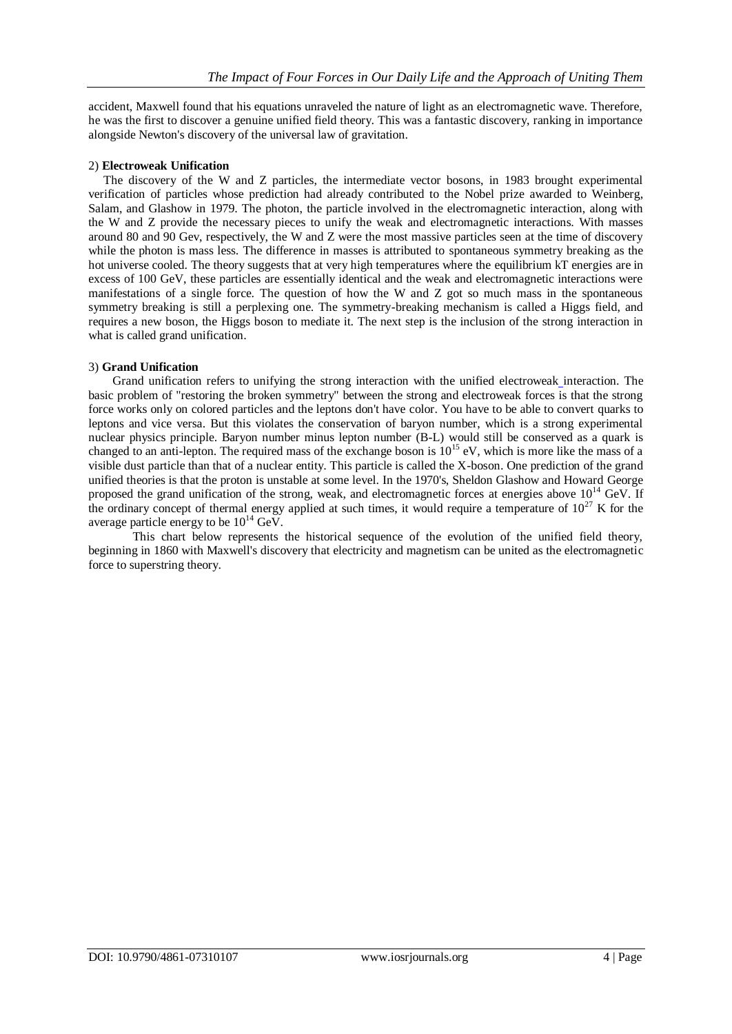accident, Maxwell found that his equations unraveled the nature of light as an electromagnetic wave. Therefore, he was the first to discover a genuine unified field theory. This was a fantastic discovery, ranking in importance alongside Newton's discovery of the universal law of gravitation.

# 2) **Electroweak Unification**

 The discovery of the [W and Z particles,](http://hyperphysics.phy-astr.gsu.edu/hbase/particles/expar.html#c3) the intermediate vector bosons, in 1983 brought experimental verification of particles whose prediction had already contributed to the Nobel prize awarded to Weinberg, Salam, and Glashow in 1979. The [photon,](http://hyperphysics.phy-astr.gsu.edu/hbase/particles/expar.html#c5) the particle involved in the electromagnetic interaction, along with the W and Z provide the necessary pieces to unify the [weak a](http://hyperphysics.phy-astr.gsu.edu/hbase/forces/funfor.html#c4)nd [electromagnetic](http://hyperphysics.phy-astr.gsu.edu/hbase/forces/funfor.html#c3) interactions. With masses around 80 and 90 Gev, respectively, the W and Z were the most massive particles seen at the time of discovery while the photon is mass less. The difference in masses is attributed to [spontaneous symmetry breaking](file:///C:\Windows.old\Users\Toshiba\Desktop\edit%20after\ewemfhf_files\hph.htm%23c2) as the hot universe cooled. The theory suggests that at very high temperatures where the [equilibrium kT energies](http://hyperphysics.phy-astr.gsu.edu/hbase/kinetic/eqpar.html#c2) are in excess of 100 GeV, these particles are essentially identical and the weak and electromagnetic interactions were manifestations of a single force. The question of how the W and Z got so much mass in the spontaneous symmetry breaking is still a perplexing one. The symmetry-breaking mechanism is called a Higgs field, and requires a new boson, the [Higgs boson](http://hyperphysics.phy-astr.gsu.edu/hbase/forces/higgs.html#c1) to mediate it. The next step is the inclusion of the [strong](http://hyperphysics.phy-astr.gsu.edu/hbase/forces/funfor.html#c2) interaction in what is calle[d grand unification.](file:///C:\Windows.old\Users\Toshiba\Desktop\edit%20after\ewemfhf_files\hph.htm%23c5)

# 3) **Grand Unification**

 Grand unification refers to unifying the [strong](http://hyperphysics.phy-astr.gsu.edu/hbase/forces/funfor.html#c2) interaction with the unified [electroweak](file:///C:\Windows.old\Users\Toshiba\Desktop\edit%20after\ewemfhf_files\hph.htm%23c1) interaction. The basic problem of "restoring the broken symmetry" between the strong and electroweak forces is that the strong force works only on colored particles and the leptons don't have [color.](http://hyperphysics.phy-astr.gsu.edu/hbase/forces/color.html#c2) You have to be able to convert [quarks](http://hyperphysics.phy-astr.gsu.edu/hbase/particles/quark.html#c1) to [leptons](http://hyperphysics.phy-astr.gsu.edu/hbase/particles/lepton.html#c1) and vice versa. But this violates the conservation of baryon number, which is a strong experimental nuclear physics principle. Baryon number minus lepton number (B-L) would still be conserved as a quark is changed to an anti-lepton. The required mass of the exchange boson is  $10^{15}$  eV, which is more like the mass of a visible dust particle than that of a nuclear entity. This particle is called the X-boson. One prediction of the grand unified theories is that the [proton](http://hyperphysics.phy-astr.gsu.edu/hbase/particles/proton.html#c1) is unstable at some level. In the 1970's, Sheldon Glashow and Howard George proposed the grand unification of the strong, weak, and electromagnetic forces at energies above  $10^{14}$  GeV. If the ordinary concept of [thermal energy](http://hyperphysics.phy-astr.gsu.edu/hbase/kinetic/eqpar.html#c2) applied at such times, it would require a temperature of  $10^{27}$  K for the average particle energy to be  $10^{14}$  GeV.

This chart below represents the historical sequence of the evolution of the unified field theory, beginning in 1860 with Maxwell's discovery that electricity and magnetism can be united as the electromagnetic force to superstring theory.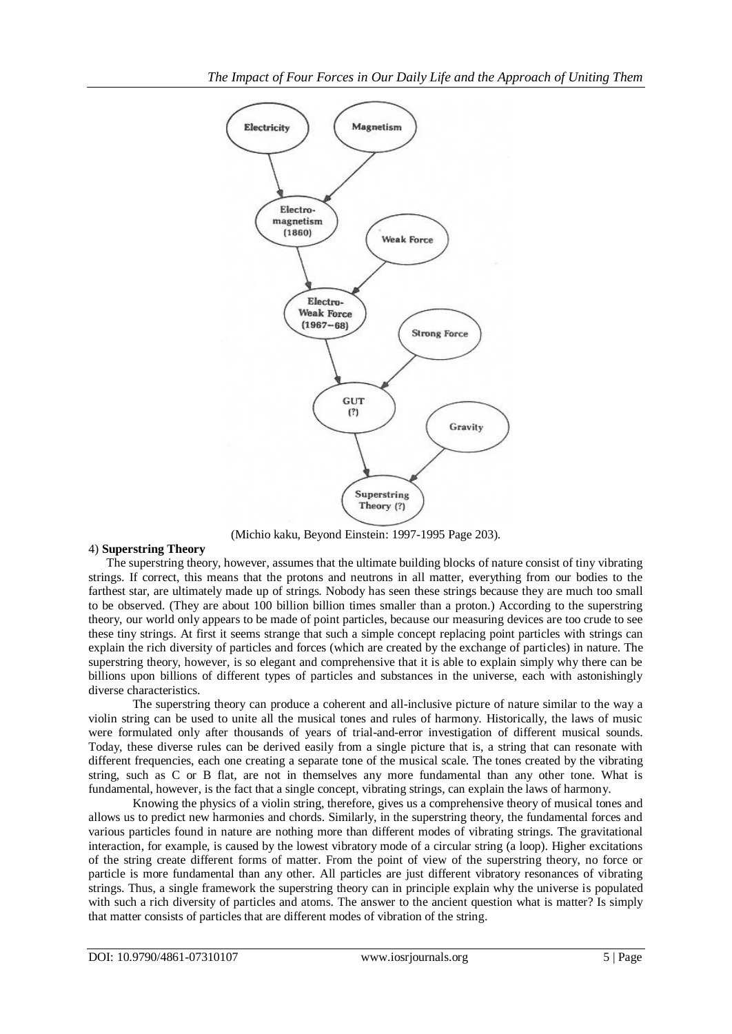

(Michio kaku, Beyond Einstein: 1997-1995 Page 203).

# 4) **Superstring Theory**

 The superstring theory, however, assumes that the ultimate building blocks of nature consist of tiny vibrating strings. If correct, this means that the protons and neutrons in all matter, everything from our bodies to the farthest star, are ultimately made up of strings. Nobody has seen these strings because they are much too small to be observed. (They are about 100 billion billion times smaller than a proton.) According to the superstring theory, our world only appears to be made of point particles, because our measuring devices are too crude to see these tiny strings. At first it seems strange that such a simple concept replacing point particles with strings can explain the rich diversity of particles and forces (which are created by the exchange of particles) in nature. The superstring theory, however, is so elegant and comprehensive that it is able to explain simply why there can be billions upon billions of different types of particles and substances in the universe, each with astonishingly diverse characteristics.

The superstring theory can produce a coherent and all-inclusive picture of nature similar to the way a violin string can be used to unite all the musical tones and rules of harmony. Historically, the laws of music were formulated only after thousands of years of trial-and-error investigation of different musical sounds. Today, these diverse rules can be derived easily from a single picture that is, a string that can resonate with different frequencies, each one creating a separate tone of the musical scale. The tones created by the vibrating string, such as C or B flat, are not in themselves any more fundamental than any other tone. What is fundamental, however, is the fact that a single concept, vibrating strings, can explain the laws of harmony.

Knowing the physics of a violin string, therefore, gives us a comprehensive theory of musical tones and allows us to predict new harmonies and chords. Similarly, in the superstring theory, the fundamental forces and various particles found in nature are nothing more than different modes of vibrating strings. The gravitational interaction, for example, is caused by the lowest vibratory mode of a circular string (a loop). Higher excitations of the string create different forms of matter. From the point of view of the superstring theory, no force or particle is more fundamental than any other. All particles are just different vibratory resonances of vibrating strings. Thus, a single framework the superstring theory can in principle explain why the universe is populated with such a rich diversity of particles and atoms. The answer to the ancient question what is matter? Is simply that matter consists of particles that are different modes of vibration of the string.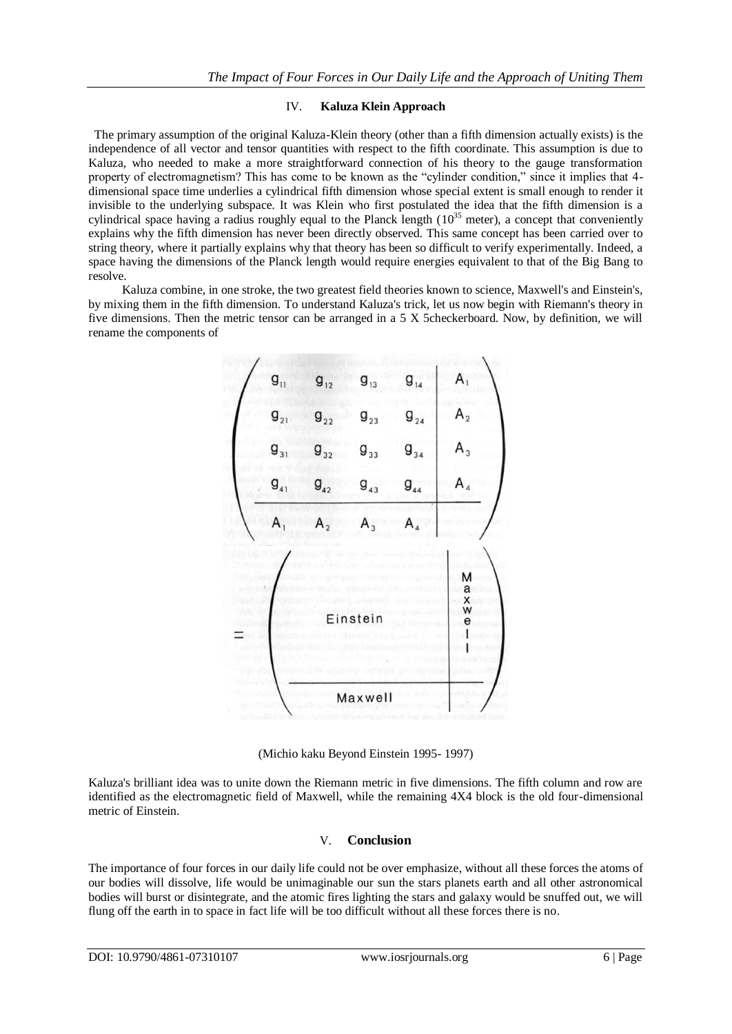#### IV. **Kaluza Klein Approach**

 The primary assumption of the original Kaluza-Klein theory (other than a fifth dimension actually exists) is the independence of all vector and tensor quantities with respect to the fifth coordinate. This assumption is due to Kaluza, who needed to make a more straightforward connection of his theory to the gauge transformation property of electromagnetism? This has come to be known as the "cylinder condition," since it implies that 4 dimensional space time underlies a cylindrical fifth dimension whose special extent is small enough to render it invisible to the underlying subspace. It was Klein who first postulated the idea that the fifth dimension is a cylindrical space having a radius roughly equal to the Planck length  $(10^{35}$  meter), a concept that conveniently explains why the fifth dimension has never been directly observed. This same concept has been carried over to string theory, where it partially explains why that theory has been so difficult to verify experimentally. Indeed, a space having the dimensions of the Planck length would require energies equivalent to that of the Big Bang to resolve.

 Kaluza combine, in one stroke, the two greatest field theories known to science, Maxwell's and Einstein's, by mixing them in the fifth dimension. To understand Kaluza's trick, let us now begin with Riemann's theory in five dimensions. Then the metric tensor can be arranged in a 5 X 5checkerboard. Now, by definition, we will rename the components of



(Michio kaku Beyond Einstein 1995- 1997)

Kaluza's brilliant idea was to unite down the Riemann metric in five dimensions. The fifth column and row are identified as the electromagnetic field of Maxwell, while the remaining 4X4 block is the old four-dimensional metric of Einstein.

#### V. **Conclusion**

The importance of four forces in our daily life could not be over emphasize, without all these forces the atoms of our bodies will dissolve, life would be unimaginable our sun the stars planets earth and all other astronomical bodies will burst or disintegrate, and the atomic fires lighting the stars and galaxy would be snuffed out, we will flung off the earth in to space in fact life will be too difficult without all these forces there is no.